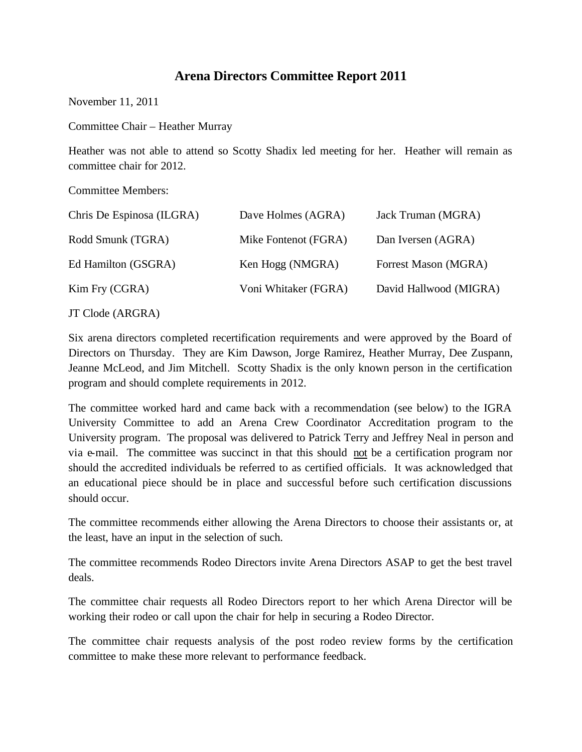## **Arena Directors Committee Report 2011**

November 11, 2011

Committee Chair – Heather Murray

Heather was not able to attend so Scotty Shadix led meeting for her. Heather will remain as committee chair for 2012.

Committee Members:

| Chris De Espinosa (ILGRA) | Dave Holmes (AGRA)   | Jack Truman (MGRA)     |
|---------------------------|----------------------|------------------------|
| Rodd Smunk (TGRA)         | Mike Fontenot (FGRA) | Dan Iversen (AGRA)     |
| Ed Hamilton (GSGRA)       | Ken Hogg (NMGRA)     | Forrest Mason (MGRA)   |
| Kim Fry (CGRA)            | Voni Whitaker (FGRA) | David Hallwood (MIGRA) |
| JT Clode (ARGRA)          |                      |                        |

Six arena directors completed recertification requirements and were approved by the Board of Directors on Thursday. They are Kim Dawson, Jorge Ramirez, Heather Murray, Dee Zuspann, Jeanne McLeod, and Jim Mitchell. Scotty Shadix is the only known person in the certification program and should complete requirements in 2012.

The committee worked hard and came back with a recommendation (see below) to the IGRA University Committee to add an Arena Crew Coordinator Accreditation program to the University program. The proposal was delivered to Patrick Terry and Jeffrey Neal in person and via e-mail. The committee was succinct in that this should not be a certification program nor should the accredited individuals be referred to as certified officials. It was acknowledged that an educational piece should be in place and successful before such certification discussions should occur.

The committee recommends either allowing the Arena Directors to choose their assistants or, at the least, have an input in the selection of such.

The committee recommends Rodeo Directors invite Arena Directors ASAP to get the best travel deals.

The committee chair requests all Rodeo Directors report to her which Arena Director will be working their rodeo or call upon the chair for help in securing a Rodeo Director.

The committee chair requests analysis of the post rodeo review forms by the certification committee to make these more relevant to performance feedback.